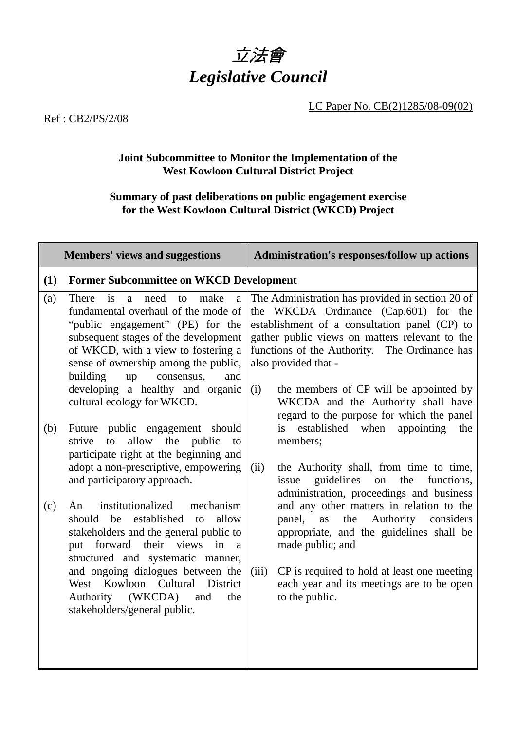

LC Paper No. CB(2)1285/08-09(02)

Ref : CB2/PS/2/08

## **Joint Subcommittee to Monitor the Implementation of the West Kowloon Cultural District Project**

## **Summary of past deliberations on public engagement exercise for the West Kowloon Cultural District (WKCD) Project**

Members' views and suggestions **Administration's responses/follow up actions** 

| (1)        | <b>Former Subcommittee on WKCD Development</b>                                                                                                                                                                                                                                                                                                                                                                    |                                                                                                                                                                                                                                                                                                                                                                                                           |  |  |  |  |
|------------|-------------------------------------------------------------------------------------------------------------------------------------------------------------------------------------------------------------------------------------------------------------------------------------------------------------------------------------------------------------------------------------------------------------------|-----------------------------------------------------------------------------------------------------------------------------------------------------------------------------------------------------------------------------------------------------------------------------------------------------------------------------------------------------------------------------------------------------------|--|--|--|--|
| (a)        | a need<br>$\frac{1}{1}$<br>make<br>There<br>to<br>a<br>fundamental overhaul of the mode of<br>"public engagement" (PE) for the<br>subsequent stages of the development<br>of WKCD, with a view to fostering a<br>sense of ownership among the public,<br>building<br>consensus,<br>up<br>and<br>developing a healthy and organic<br>cultural ecology for WKCD.                                                    | The Administration has provided in section 20 of<br>the WKCDA Ordinance (Cap.601) for the<br>establishment of a consultation panel (CP) to<br>gather public views on matters relevant to the<br>functions of the Authority. The Ordinance has<br>also provided that -<br>the members of CP will be appointed by<br>(i)<br>WKCDA and the Authority shall have<br>regard to the purpose for which the panel |  |  |  |  |
| (b)<br>(c) | Future public engagement should<br>allow<br>the<br>public<br>strive<br>to<br>to<br>participate right at the beginning and<br>adopt a non-prescriptive, empowering<br>and participatory approach.<br>institutionalized<br>mechanism<br>An<br>established<br>be<br>allow<br>should<br>to<br>stakeholders and the general public to<br>forward<br>their views<br>in<br>put<br>a<br>structured and systematic manner, | is established when<br>appointing<br>the<br>members;<br>(ii)<br>the Authority shall, from time to time,<br>guidelines<br>the<br>functions,<br>issue<br>on<br>administration, proceedings and business<br>and any other matters in relation to the<br>the<br>Authority<br>panel,<br>considers<br>as<br>appropriate, and the guidelines shall be<br>made public; and                                        |  |  |  |  |
|            | and ongoing dialogues between the<br>West Kowloon Cultural<br>District<br>(WKCDA)<br>Authority<br>and<br>the<br>stakeholders/general public.                                                                                                                                                                                                                                                                      | (iii)<br>CP is required to hold at least one meeting<br>each year and its meetings are to be open<br>to the public.                                                                                                                                                                                                                                                                                       |  |  |  |  |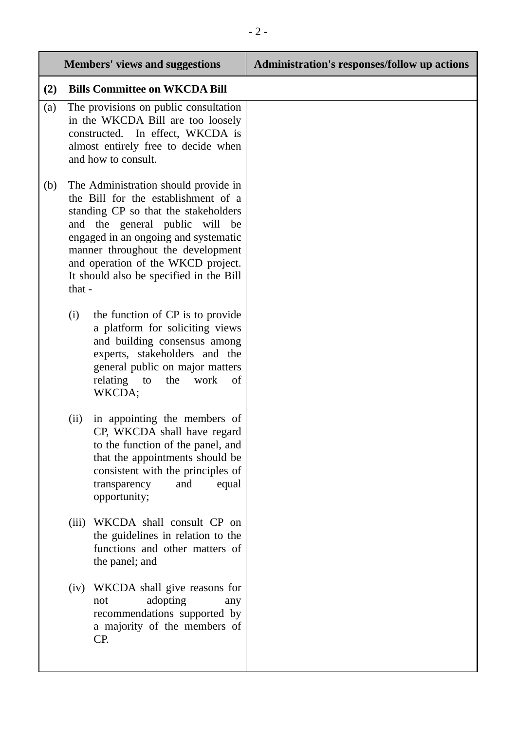|     |        | <b>Members' views and suggestions</b>                                                                                                                                                                                                                                                                                  | <b>Administration's responses/follow up actions</b> |
|-----|--------|------------------------------------------------------------------------------------------------------------------------------------------------------------------------------------------------------------------------------------------------------------------------------------------------------------------------|-----------------------------------------------------|
| (2) |        | <b>Bills Committee on WKCDA Bill</b>                                                                                                                                                                                                                                                                                   |                                                     |
| (a) |        | The provisions on public consultation<br>in the WKCDA Bill are too loosely<br>constructed. In effect, WKCDA is<br>almost entirely free to decide when<br>and how to consult.                                                                                                                                           |                                                     |
| (b) | that - | The Administration should provide in<br>the Bill for the establishment of a<br>standing CP so that the stakeholders<br>and the general public will<br>be<br>engaged in an ongoing and systematic<br>manner throughout the development<br>and operation of the WKCD project.<br>It should also be specified in the Bill |                                                     |
|     | (i)    | the function of CP is to provide<br>a platform for soliciting views<br>and building consensus among<br>experts, stakeholders and the<br>general public on major matters<br>relating<br>the<br>work<br>to<br>of<br>WKCDA;                                                                                               |                                                     |
|     | (ii)   | in appointing the members of<br>CP, WKCDA shall have regard<br>to the function of the panel, and<br>that the appointments should be<br>consistent with the principles of<br>transparency<br>and<br>equal<br>opportunity;                                                                                               |                                                     |
|     | (iii)  | WKCDA shall consult CP on<br>the guidelines in relation to the<br>functions and other matters of<br>the panel; and                                                                                                                                                                                                     |                                                     |
|     | (iv)   | WKCDA shall give reasons for<br>adopting<br>not<br>any<br>recommendations supported by<br>a majority of the members of<br>CP.                                                                                                                                                                                          |                                                     |